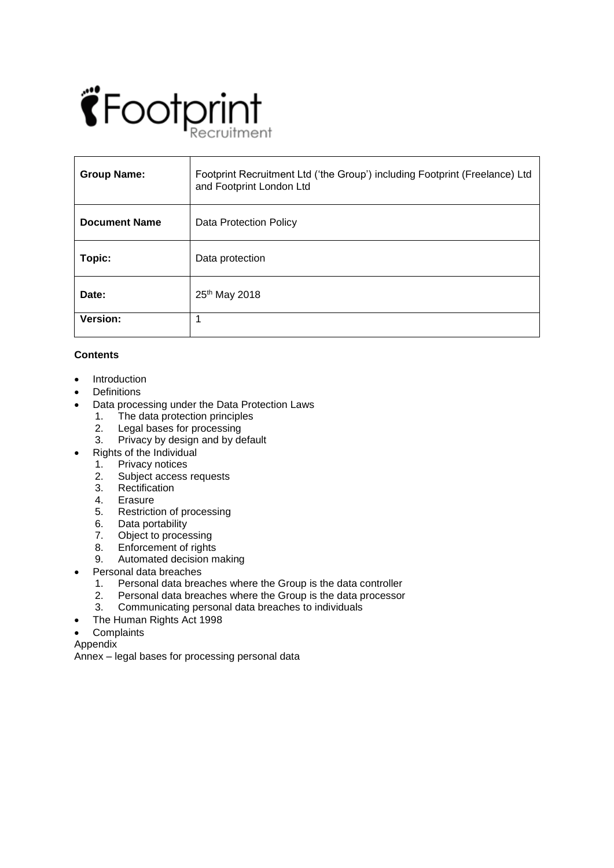# $\ddot{\mathbf{C}}$  Footprint itment

| <b>Group Name:</b>   | Footprint Recruitment Ltd ('the Group') including Footprint (Freelance) Ltd<br>and Footprint London Ltd |
|----------------------|---------------------------------------------------------------------------------------------------------|
| <b>Document Name</b> | Data Protection Policy                                                                                  |
| Topic:               | Data protection                                                                                         |
| Date:                | 25th May 2018                                                                                           |
| Version:             |                                                                                                         |

# **Contents**

- Introduction
- **Definitions**
- Data processing under the Data Protection Laws
	- 1. The data protection principles
	- 2. Legal bases for processing
	- 3. Privacy by design and by default
- Rights of the Individual<br>1. Privacy notices
- Privacy notices
	- 2. Subject access requests
	- 3. Rectification
	- 4. Erasure
	- 5. Restriction of processing
	- 6. Data portability<br>7. Obiect to proce
	- 7. Object to processing<br>8. Enforcement of rights
	- Enforcement of rights
	- 9. Automated decision making
- Personal data breaches
	- 1. Personal data breaches where the Group is the data controller
	- 2. Personal data breaches where the Group is the data processor<br>3. Communicating personal data breaches to individuals
	- 3. Communicating personal data breaches to individuals
- The Human Rights Act 1998
- **Complaints**
- Appendix

Annex – legal bases for processing personal data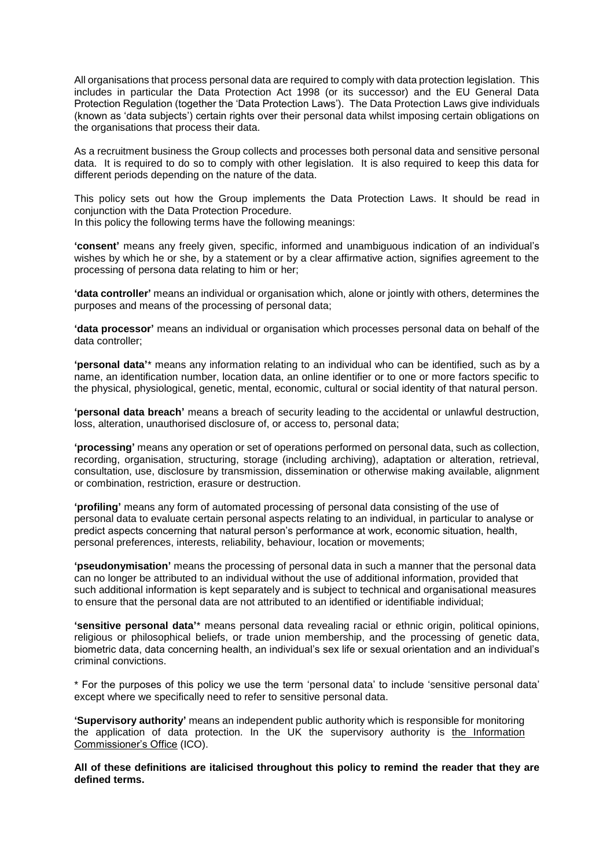All organisations that process personal data are required to comply with data protection legislation. This includes in particular the Data Protection Act 1998 (or its successor) and the EU General Data Protection Regulation (together the 'Data Protection Laws'). The Data Protection Laws give individuals (known as 'data subjects') certain rights over their personal data whilst imposing certain obligations on the organisations that process their data.

As a recruitment business the Group collects and processes both personal data and sensitive personal data. It is required to do so to comply with other legislation. It is also required to keep this data for different periods depending on the nature of the data.

This policy sets out how the Group implements the Data Protection Laws. It should be read in conjunction with the Data Protection Procedure.

In this policy the following terms have the following meanings:

**'consent'** means any freely given, specific, informed and unambiguous indication of an individual's wishes by which he or she, by a statement or by a clear affirmative action, signifies agreement to the processing of persona data relating to him or her;

**'data controller'** means an individual or organisation which, alone or jointly with others, determines the purposes and means of the processing of personal data;

**'data processor'** means an individual or organisation which processes personal data on behalf of the data controller;

**'personal data'**\* means any information relating to an individual who can be identified, such as by a name, an identification number, location data, an online identifier or to one or more factors specific to the physical, physiological, genetic, mental, economic, cultural or social identity of that natural person.

**'personal data breach'** means a breach of security leading to the accidental or unlawful destruction, loss, alteration, unauthorised disclosure of, or access to, personal data;

**'processing'** means any operation or set of operations performed on personal data, such as collection, recording, organisation, structuring, storage (including archiving), adaptation or alteration, retrieval, consultation, use, disclosure by transmission, dissemination or otherwise making available, alignment or combination, restriction, erasure or destruction.

**'profiling'** means any form of automated processing of personal data consisting of the use of personal data to evaluate certain personal aspects relating to an individual, in particular to analyse or predict aspects concerning that natural person's performance at work, economic situation, health, personal preferences, interests, reliability, behaviour, location or movements;

**'pseudonymisation'** means the processing of personal data in such a manner that the personal data can no longer be attributed to an individual without the use of additional information, provided that such additional information is kept separately and is subject to technical and organisational measures to ensure that the personal data are not attributed to an identified or identifiable individual;

**'sensitive personal data'**\* means personal data revealing racial or ethnic origin, political opinions, religious or philosophical beliefs, or trade union membership, and the processing of genetic data, biometric data, data concerning health, an individual's sex life or sexual orientation and an individual's criminal convictions.

\* For the purposes of this policy we use the term 'personal data' to include 'sensitive personal data' except where we specifically need to refer to sensitive personal data.

**'Supervisory authority'** means an independent public authority which is responsible for monitoring the application of data protection. In the UK the supervisory authority is [the Information](https://ico.org.uk/)  [Commissioner's Office](https://ico.org.uk/) (ICO).

**All of these definitions are italicised throughout this policy to remind the reader that they are defined terms.**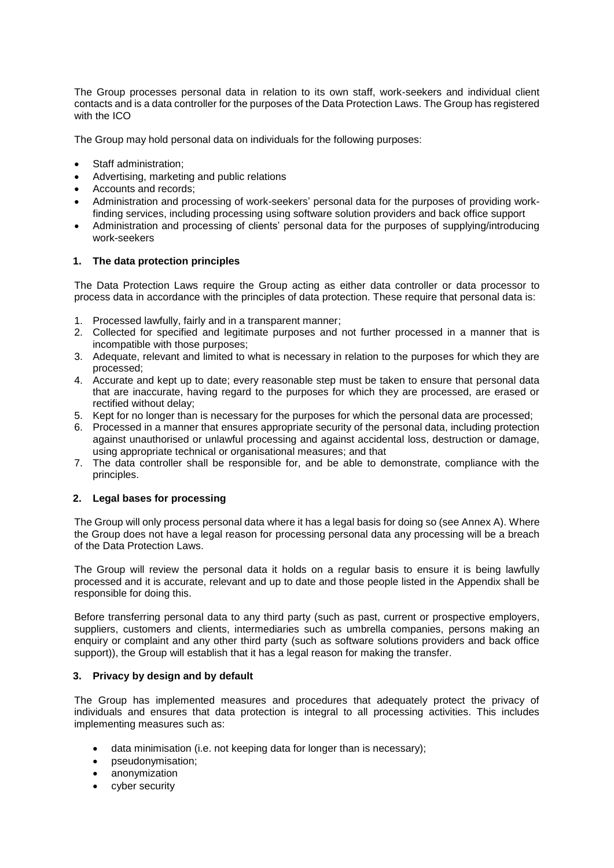The Group processes personal data in relation to its own staff, work-seekers and individual client contacts and is a data controller for the purposes of the Data Protection Laws. The Group has registered with the ICO

The Group may hold personal data on individuals for the following purposes:

- Staff administration;
- Advertising, marketing and public relations
- Accounts and records;
- Administration and processing of work-seekers' personal data for the purposes of providing workfinding services, including processing using software solution providers and back office support
- Administration and processing of clients' personal data for the purposes of supplying/introducing work-seekers

### **1. The data protection principles**

The Data Protection Laws require the Group acting as either data controller or data processor to process data in accordance with the principles of data protection. These require that personal data is:

- 1. Processed lawfully, fairly and in a transparent manner;
- 2. Collected for specified and legitimate purposes and not further processed in a manner that is incompatible with those purposes;
- 3. Adequate, relevant and limited to what is necessary in relation to the purposes for which they are processed;
- 4. Accurate and kept up to date; every reasonable step must be taken to ensure that personal data that are inaccurate, having regard to the purposes for which they are processed, are erased or rectified without delay;
- 5. Kept for no longer than is necessary for the purposes for which the personal data are processed;
- 6. Processed in a manner that ensures appropriate security of the personal data, including protection against unauthorised or unlawful processing and against accidental loss, destruction or damage, using appropriate technical or organisational measures; and that
- 7. The data controller shall be responsible for, and be able to demonstrate, compliance with the principles.

## **2. Legal bases for processing**

The Group will only process personal data where it has a legal basis for doing so (see Annex A). Where the Group does not have a legal reason for processing personal data any processing will be a breach of the Data Protection Laws.

The Group will review the personal data it holds on a regular basis to ensure it is being lawfully processed and it is accurate, relevant and up to date and those people listed in the Appendix shall be responsible for doing this.

Before transferring personal data to any third party (such as past, current or prospective employers, suppliers, customers and clients, intermediaries such as umbrella companies, persons making an enquiry or complaint and any other third party (such as software solutions providers and back office support)), the Group will establish that it has a legal reason for making the transfer.

## **3. Privacy by design and by default**

The Group has implemented measures and procedures that adequately protect the privacy of individuals and ensures that data protection is integral to all processing activities. This includes implementing measures such as:

- data minimisation (i.e. not keeping data for longer than is necessary);
- pseudonymisation;
- anonymization
- cyber security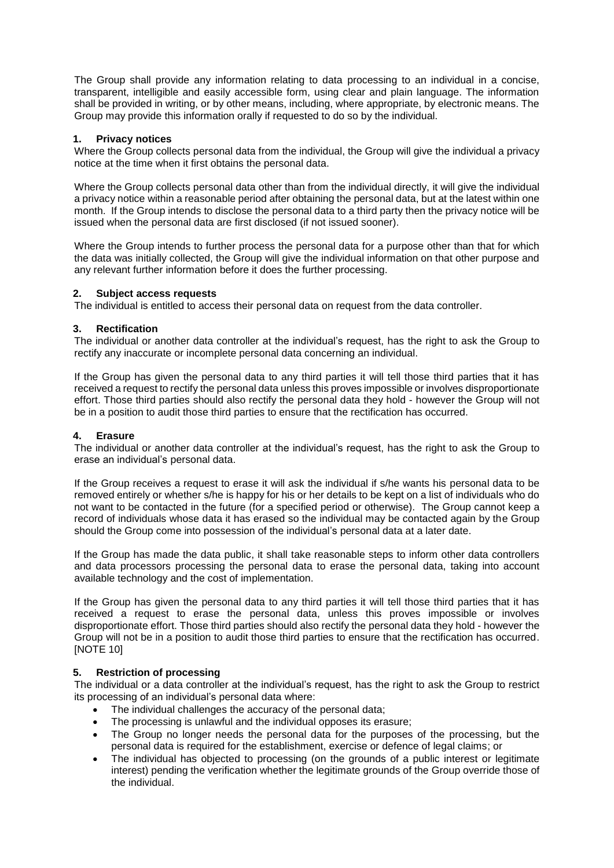The Group shall provide any information relating to data processing to an individual in a concise, transparent, intelligible and easily accessible form, using clear and plain language. The information shall be provided in writing, or by other means, including, where appropriate, by electronic means. The Group may provide this information orally if requested to do so by the individual.

## **1. Privacy notices**

Where the Group collects personal data from the individual, the Group will give the individual a privacy notice at the time when it first obtains the personal data.

Where the Group collects personal data other than from the individual directly, it will give the individual a privacy notice within a reasonable period after obtaining the personal data, but at the latest within one month. If the Group intends to disclose the personal data to a third party then the privacy notice will be issued when the personal data are first disclosed (if not issued sooner).

Where the Group intends to further process the personal data for a purpose other than that for which the data was initially collected, the Group will give the individual information on that other purpose and any relevant further information before it does the further processing.

### **2. Subject access requests**

The individual is entitled to access their personal data on request from the data controller.

### **3. Rectification**

The individual or another data controller at the individual's request, has the right to ask the Group to rectify any inaccurate or incomplete personal data concerning an individual.

If the Group has given the personal data to any third parties it will tell those third parties that it has received a request to rectify the personal data unless this proves impossible or involves disproportionate effort. Those third parties should also rectify the personal data they hold - however the Group will not be in a position to audit those third parties to ensure that the rectification has occurred.

#### **4. Erasure**

The individual or another data controller at the individual's request, has the right to ask the Group to erase an individual's personal data.

If the Group receives a request to erase it will ask the individual if s/he wants his personal data to be removed entirely or whether s/he is happy for his or her details to be kept on a list of individuals who do not want to be contacted in the future (for a specified period or otherwise). The Group cannot keep a record of individuals whose data it has erased so the individual may be contacted again by the Group should the Group come into possession of the individual's personal data at a later date.

If the Group has made the data public, it shall take reasonable steps to inform other data controllers and data processors processing the personal data to erase the personal data, taking into account available technology and the cost of implementation.

If the Group has given the personal data to any third parties it will tell those third parties that it has received a request to erase the personal data, unless this proves impossible or involves disproportionate effort. Those third parties should also rectify the personal data they hold - however the Group will not be in a position to audit those third parties to ensure that the rectification has occurred. [NOTE 10]

#### **5. Restriction of processing**

The individual or a data controller at the individual's request, has the right to ask the Group to restrict its processing of an individual's personal data where:

- The individual challenges the accuracy of the personal data;
- The processing is unlawful and the individual opposes its erasure;
- The Group no longer needs the personal data for the purposes of the processing, but the personal data is required for the establishment, exercise or defence of legal claims; or
- The individual has objected to processing (on the grounds of a public interest or legitimate interest) pending the verification whether the legitimate grounds of the Group override those of the individual.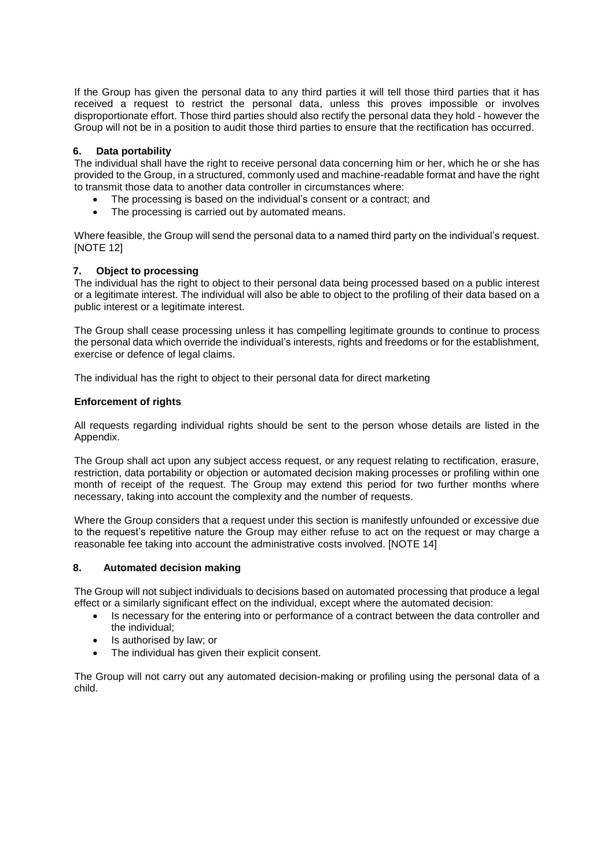If the Group has given the personal data to any third parties it will tell those third parties that it has received a request to restrict the personal data, unless this proves impossible or involves disproportionate effort. Those third parties should also rectify the personal data they hold - however the Group will not be in a position to audit those third parties to ensure that the rectification has occurred.

## **6. Data portability**

The individual shall have the right to receive personal data concerning him or her, which he or she has provided to the Group, in a structured, commonly used and machine-readable format and have the right to transmit those data to another data controller in circumstances where:

- The processing is based on the individual's consent or a contract; and
- The processing is carried out by automated means.

Where feasible, the Group will send the personal data to a named third party on the individual's request. [NOTE 12]

## **7. Object to processing**

The individual has the right to object to their personal data being processed based on a public interest or a legitimate interest. The individual will also be able to object to the profiling of their data based on a public interest or a legitimate interest.

The Group shall cease processing unless it has compelling legitimate grounds to continue to process the personal data which override the individual's interests, rights and freedoms or for the establishment, exercise or defence of legal claims.

The individual has the right to object to their personal data for direct marketing

## **Enforcement of rights**

All requests regarding individual rights should be sent to the person whose details are listed in the Appendix.

The Group shall act upon any subject access request, or any request relating to rectification, erasure, restriction, data portability or objection or automated decision making processes or profiling within one month of receipt of the request. The Group may extend this period for two further months where necessary, taking into account the complexity and the number of requests.

Where the Group considers that a request under this section is manifestly unfounded or excessive due to the request's repetitive nature the Group may either refuse to act on the request or may charge a reasonable fee taking into account the administrative costs involved. [NOTE 14]

## **8. Automated decision making**

The Group will not subject individuals to decisions based on automated processing that produce a legal effect or a similarly significant effect on the individual, except where the automated decision:

- Is necessary for the entering into or performance of a contract between the data controller and the individual;
- Is authorised by law; or
- The individual has given their explicit consent.

The Group will not carry out any automated decision-making or profiling using the personal data of a child.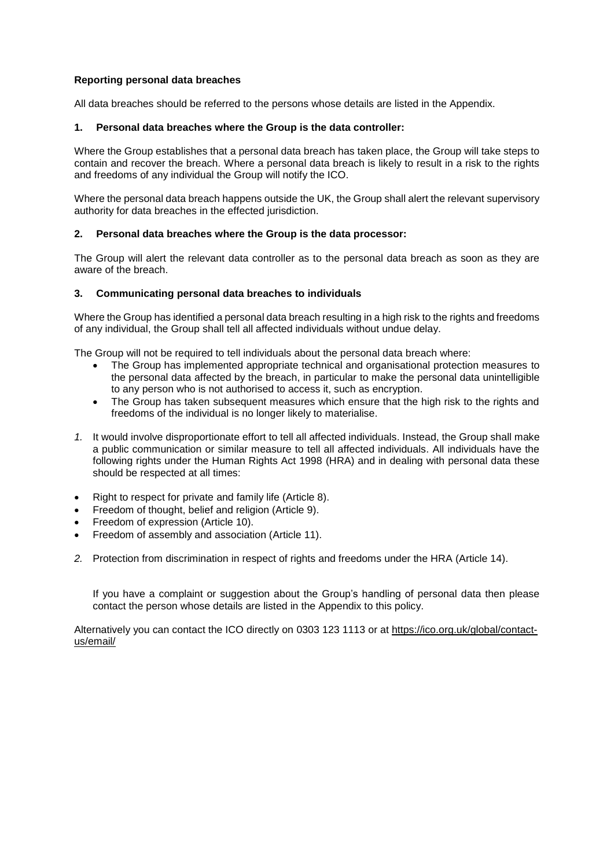## **Reporting personal data breaches**

All data breaches should be referred to the persons whose details are listed in the Appendix.

#### **1. Personal data breaches where the Group is the data controller:**

Where the Group establishes that a personal data breach has taken place, the Group will take steps to contain and recover the breach. Where a personal data breach is likely to result in a risk to the rights and freedoms of any individual the Group will notify the ICO.

Where the personal data breach happens outside the UK, the Group shall alert the relevant supervisory authority for data breaches in the effected jurisdiction.

### **2. Personal data breaches where the Group is the data processor:**

The Group will alert the relevant data controller as to the personal data breach as soon as they are aware of the breach.

### **3. Communicating personal data breaches to individuals**

Where the Group has identified a personal data breach resulting in a high risk to the rights and freedoms of any individual, the Group shall tell all affected individuals without undue delay.

The Group will not be required to tell individuals about the personal data breach where:

- The Group has implemented appropriate technical and organisational protection measures to the personal data affected by the breach, in particular to make the personal data unintelligible to any person who is not authorised to access it, such as encryption.
- The Group has taken subsequent measures which ensure that the high risk to the rights and freedoms of the individual is no longer likely to materialise.
- *1.* It would involve disproportionate effort to tell all affected individuals. Instead, the Group shall make a public communication or similar measure to tell all affected individuals. All individuals have the following rights under the Human Rights Act 1998 (HRA) and in dealing with personal data these should be respected at all times:
- Right to respect for private and family life (Article 8).
- Freedom of thought, belief and religion (Article 9).
- Freedom of expression (Article 10).
- Freedom of assembly and association (Article 11).
- *2.* Protection from discrimination in respect of rights and freedoms under the HRA (Article 14).

If you have a complaint or suggestion about the Group's handling of personal data then please contact the person whose details are listed in the Appendix to this policy.

Alternatively you can contact the ICO directly on 0303 123 1113 or at [https://ico.org.uk/global/contact](https://ico.org.uk/global/contact-us/email/)[us/email/](https://ico.org.uk/global/contact-us/email/)